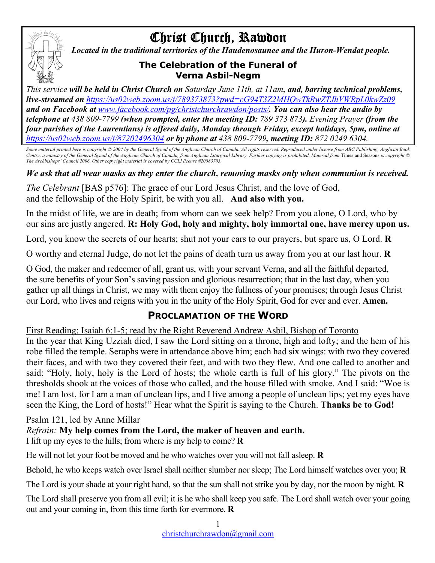# Christ Church, Rawdon



*Located in the traditional territories of the Haudenosaunee and the Huron-Wendat people.*

#### **The Celebration of the Funeral of Verna Asbil-Negm**

*This service will be held in Christ Church on Saturday June 11th, at 11am, and, barring technical problems, live-streamed on https://us02web.zoom.us/j/789373873?pwd=cG94T3Z2MHQwTkRwZTJhVWRpL0kwZz09 and on Facebook at www.facebook.com/pg/christchurchrawdon/posts/. You can also hear the audio by telephone at 438 809-7799 (when prompted, enter the meeting ID: 789 373 873). Evening Prayer (from the four parishes of the Laurentians) is offered daily, Monday through Friday, except holidays, 5pm, online at https://us02web.zoom.us/j/87202496304 or by phone at 438 809-7799, meeting ID: 872 0249 6304.*

*Some material printed here is copyright © 2004 by the General Synod of the Anglican Church of Canada. All rights reserved. Reproduced under license from ABC Publishing, Anglican Book Centre, a ministry of the General Synod of the Anglican Church of Canada, from Anglican Liturgical Library. Further copying is prohibited. Material from* Times and Seasons *is copyright © The Archbishops' Council 2006. Other copyright material is covered by CCLI license #20883703.*

*We ask that all wear masks as they enter the church, removing masks only when communion is received.*

*The Celebrant* [BAS p576]: The grace of our Lord Jesus Christ, and the love of God, and the fellowship of the Holy Spirit, be with you all. **And also with you.**

In the midst of life, we are in death; from whom can we seek help? From you alone, O Lord, who by our sins are justly angered. **R: Holy God, holy and mighty, holy immortal one, have mercy upon us.**

Lord, you know the secrets of our hearts; shut not your ears to our prayers, but spare us, O Lord. **R**

O worthy and eternal Judge, do not let the pains of death turn us away from you at our last hour. **R**

O God, the maker and redeemer of all, grant us, with your servant Verna, and all the faithful departed, the sure benefits of your Son's saving passion and glorious resurrection; that in the last day, when you gather up all things in Christ, we may with them enjoy the fullness of your promises; through Jesus Christ our Lord, who lives and reigns with you in the unity of the Holy Spirit, God for ever and ever. **Amen.**

## **PROCLAMATION OF THE WORD**

First Reading: Isaiah 6:1-5; read by the Right Reverend Andrew Asbil, Bishop of Toronto In the year that King Uzziah died, I saw the Lord sitting on a throne, high and lofty; and the hem of his robe filled the temple. Seraphs were in attendance above him; each had six wings: with two they covered their faces, and with two they covered their feet, and with two they flew. And one called to another and said: "Holy, holy, holy is the Lord of hosts; the whole earth is full of his glory." The pivots on the thresholds shook at the voices of those who called, and the house filled with smoke. And I said: "Woe is me! I am lost, for I am a man of unclean lips, and I live among a people of unclean lips; yet my eyes have seen the King, the Lord of hosts!" Hear what the Spirit is saying to the Church. **Thanks be to God!**

#### Psalm 121, led by Anne Millar

*Refrain:* **My help comes from the Lord, the maker of heaven and earth.**

I lift up my eyes to the hills; from where is my help to come? **R**

He will not let your foot be moved and he who watches over you will not fall asleep. **R**

Behold, he who keeps watch over Israel shall neither slumber nor sleep; The Lord himself watches over you; **R**

The Lord is your shade at your right hand, so that the sun shall not strike you by day, nor the moon by night. **R**

The Lord shall preserve you from all evil; it is he who shall keep you safe. The Lord shall watch over your going out and your coming in, from this time forth for evermore. **R**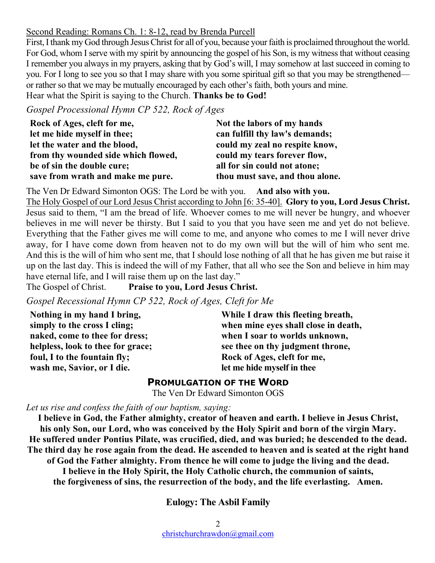#### Second Reading: Romans Ch. 1: 8-12, read by Brenda Purcell

First, I thank my God through Jesus Christ for all of you, because your faith is proclaimed throughout the world. For God, whom I serve with my spirit by announcing the gospel of his Son, is my witness that without ceasing I remember you always in my prayers, asking that by God's will, I may somehow at last succeed in coming to you. For I long to see you so that I may share with you some spiritual gift so that you may be strengthened or rather so that we may be mutually encouraged by each other's faith, both yours and mine. Hear what the Spirit is saying to the Church. **Thanks be to God!**

*Gospel Processional Hymn CP 522, Rock of Ages*

| Rock of Ages, cleft for me,         | Not the labors of my hands      |
|-------------------------------------|---------------------------------|
| let me hide myself in thee;         | can fulfill thy law's demands;  |
| let the water and the blood,        | could my zeal no respite know,  |
| from thy wounded side which flowed, | could my tears forever flow,    |
| be of sin the double cure;          | all for sin could not atone;    |
| save from wrath and make me pure.   | thou must save, and thou alone. |

The Ven Dr Edward Simonton OGS: The Lord be with you. **And also with you.** The Holy Gospel of our Lord Jesus Christ according to John [6: 35-40]. **Glory to you, Lord Jesus Christ.** Jesus said to them, "I am the bread of life. Whoever comes to me will never be hungry, and whoever believes in me will never be thirsty. But I said to you that you have seen me and yet do not believe. Everything that the Father gives me will come to me, and anyone who comes to me I will never drive away, for I have come down from heaven not to do my own will but the will of him who sent me. And this is the will of him who sent me, that I should lose nothing of all that he has given me but raise it up on the last day. This is indeed the will of my Father, that all who see the Son and believe in him may have eternal life, and I will raise them up on the last day."

The Gospel of Christ. **Praise to you, Lord Jesus Christ.**

*Gospel Recessional Hymn CP 522, Rock of Ages, Cleft for Me*

**Nothing in my hand I bring, simply to the cross I cling; naked, come to thee for dress; helpless, look to thee for grace; foul, I to the fountain fly; wash me, Savior, or I die.** 

**While I draw this fleeting breath, when mine eyes shall close in death, when I soar to worlds unknown, see thee on thy judgment throne, Rock of Ages, cleft for me, let me hide myself in thee**

#### **PROMULGATION OF THE WORD**

The Ven Dr Edward Simonton OGS

*Let us rise and confess the faith of our baptism, saying:*

**I believe in God, the Father almighty, creator of heaven and earth. I believe in Jesus Christ, his only Son, our Lord, who was conceived by the Holy Spirit and born of the virgin Mary. He suffered under Pontius Pilate, was crucified, died, and was buried; he descended to the dead. The third day he rose again from the dead. He ascended to heaven and is seated at the right hand of God the Father almighty. From thence he will come to judge the living and the dead. I believe in the Holy Spirit, the Holy Catholic church, the communion of saints, the forgiveness of sins, the resurrection of the body, and the life everlasting. Amen.**

**Eulogy: The Asbil Family**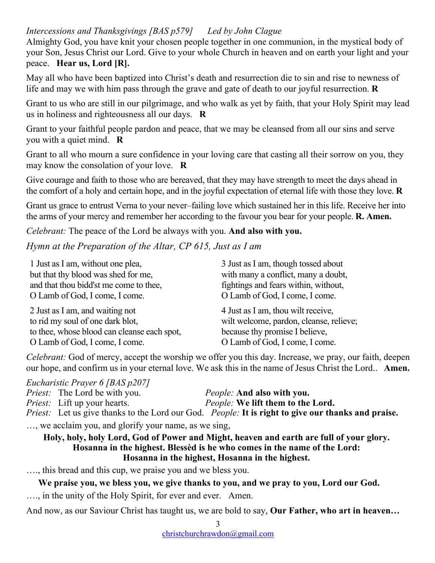## *Intercessions and Thanksgivings [BAS p579] Led by John Clague*

Almighty God, you have knit your chosen people together in one communion, in the mystical body of your Son, Jesus Christ our Lord. Give to your whole Church in heaven and on earth your light and your peace. **Hear us, Lord [R].**

May all who have been baptized into Christ's death and resurrection die to sin and rise to newness of life and may we with him pass through the grave and gate of death to our joyful resurrection. **R**

Grant to us who are still in our pilgrimage, and who walk as yet by faith, that your Holy Spirit may lead us in holiness and righteousness all our days. **R**

Grant to your faithful people pardon and peace, that we may be cleansed from all our sins and serve you with a quiet mind. **R**

Grant to all who mourn a sure confidence in your loving care that casting all their sorrow on you, they may know the consolation of your love. **R**

Give courage and faith to those who are bereaved, that they may have strength to meet the days ahead in the comfort of a holy and certain hope, and in the joyful expectation of eternal life with those they love. **R**

Grant us grace to entrust Verna to your never–failing love which sustained her in this life. Receive her into the arms of your mercy and remember her according to the favour you bear for your people. **R. Amen.**

*Celebrant:* The peace of the Lord be always with you. **And also with you.**

*Hymn at the Preparation of the Altar, CP 615, Just as I am*

| 1 Just as I am, without one plea,           | 3 Just as I am, though tossed about     |
|---------------------------------------------|-----------------------------------------|
| but that thy blood was shed for me,         | with many a conflict, many a doubt,     |
| and that thou bidd'st me come to thee,      | fightings and fears within, without,    |
| O Lamb of God, I come, I come.              | O Lamb of God, I come, I come.          |
| 2 Just as I am, and waiting not             | 4 Just as I am, thou wilt receive,      |
| to rid my soul of one dark blot,            | wilt welcome, pardon, cleanse, relieve; |
| to thee, whose blood can cleanse each spot, | because thy promise I believe,          |
| O Lamb of God, I come, I come.              | O Lamb of God, I come, I come.          |

*Celebrant:* God of mercy, accept the worship we offer you this day. Increase, we pray, our faith, deepen our hope, and confirm us in your eternal love. We ask this in the name of Jesus Christ the Lord.. **Amen.**

*Eucharistic Prayer 6 [BAS p207]*

*Priest:* The Lord be with you.<br>*Priest:* Lift up your hearts. *People:* We lift them to the *People:* We lift them to the Lord. *Priest:* Let us give thanks to the Lord our God. *People:* **It is right to give our thanks and praise.**

…, we acclaim you, and glorify your name, as we sing,

**Holy, holy, holy Lord, God of Power and Might, heaven and earth are full of your glory. Hosanna in the highest. Blessèd is he who comes in the name of the Lord: Hosanna in the highest, Hosanna in the highest.**

…., this bread and this cup, we praise you and we bless you.

**We praise you, we bless you, we give thanks to you, and we pray to you, Lord our God.** …., in the unity of the Holy Spirit, for ever and ever. Amen.

And now, as our Saviour Christ has taught us, we are bold to say, **Our Father, who art in heaven…**